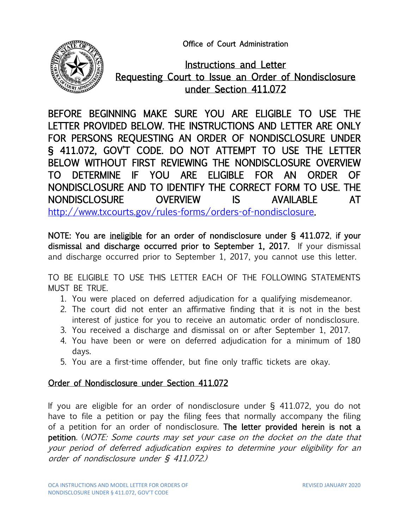Office of Court Administration



Instructions and Letter Requesting Court to Issue an Order of Nondisclosure under Section 411.072

BEFORE BEGINNING MAKE SURE YOU ARE ELIGIBLE TO USE THE LETTER PROVIDED BELOW. THE INSTRUCTIONS AND LETTER ARE ONLY FOR PERSONS REQUESTING AN ORDER OF NONDISCLOSURE UNDER § 411.072, GOV'T CODE. DO NOT ATTEMPT TO USE THE LETTER BELOW WITHOUT FIRST REVIEWING THE NONDISCLOSURE OVERVIEW TO DETERMINE IF YOU ARE ELIGIBLE FOR AN ORDER OF NONDISCLOSURE AND TO IDENTIFY THE CORRECT FORM TO USE. THE NONDISCLOSURE OVERVIEW IS AVAILABLE AT [http://www.txcourts.gov/rules-forms/orders-of-nondisclosure.](http://www.txcourts.gov/rules-forms/orders-of-nondisclosure)

NOTE: You are ineligible for an order of nondisclosure under § 411.072, if your dismissal and discharge occurred prior to September 1, 2017. If your dismissal and discharge occurred prior to September 1, 2017, you cannot use this letter.

TO BE ELIGIBLE TO USE THIS LETTER EACH OF THE FOLLOWING STATEMENTS MUST BE TRUE.

- 1. You were placed on deferred adjudication for a qualifying misdemeanor.
- 2. The court did not enter an affirmative finding that it is not in the best interest of justice for you to receive an automatic order of nondisclosure.
- 3. You received a discharge and dismissal on or after September 1, 2017.
- 4. You have been or were on deferred adjudication for a minimum of 180 days.
- 5. You are a first-time offender, but fine only traffic tickets are okay.

## Order of Nondisclosure under Section 411.072

If you are eligible for an order of nondisclosure under § 411.072, you do not have to file a petition or pay the filing fees that normally accompany the filing of a petition for an order of nondisclosure. The letter provided herein is not a petition. (NOTE: Some courts may set your case on the docket on the date that your period of deferred adjudication expires to determine your eligibility for an order of nondisclosure under § 411.072.)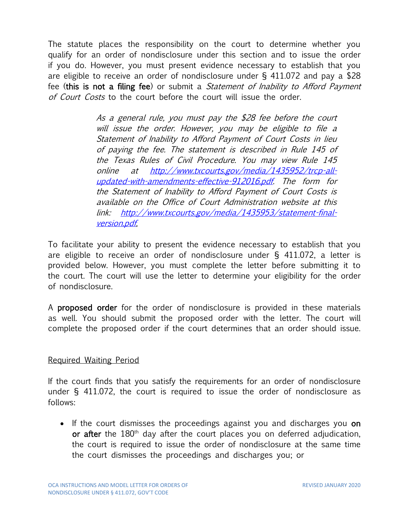The statute places the responsibility on the court to determine whether you qualify for an order of nondisclosure under this section and to issue the order if you do. However, you must present evidence necessary to establish that you are eligible to receive an order of nondisclosure under § 411.072 and pay a \$28 fee (this is not a filing fee) or submit a *Statement of Inability to Afford Payment* of Court Costs to the court before the court will issue the order.

> As a general rule, you must pay the \$28 fee before the court will issue the order. However, you may be eligible to file a Statement of Inability to Afford Payment of Court Costs in lieu of paying the fee. The statement is described in Rule 145 of the Texas Rules of Civil Procedure. You may view Rule 145 online at [http://www.txcourts.gov/media/1435952/trcp-all](http://www.txcourts.gov/media/1435952/trcp-all-updated-with-amendments-effective-912016.pdf)[updated-with-amendments-effective-912016.pdf.](http://www.txcourts.gov/media/1435952/trcp-all-updated-with-amendments-effective-912016.pdf) The form for the Statement of Inability to Afford Payment of Court Costs is available on the Office of Court Administration website at this link: [http://www.txcourts.gov/media/1435953/statement-final](http://www.txcourts.gov/media/1435953/statement-final-version.pdf)[version.pdf.](http://www.txcourts.gov/media/1435953/statement-final-version.pdf)

To facilitate your ability to present the evidence necessary to establish that you are eligible to receive an order of nondisclosure under § 411.072, a letter is provided below. However, you must complete the letter before submitting it to the court. The court will use the letter to determine your eligibility for the order of nondisclosure.

A proposed order for the order of nondisclosure is provided in these materials as well. You should submit the proposed order with the letter. The court will complete the proposed order if the court determines that an order should issue.

### Required Waiting Period

If the court finds that you satisfy the requirements for an order of nondisclosure under § 411.072, the court is required to issue the order of nondisclosure as follows:

• If the court dismisses the proceedings against you and discharges you **on** or after the  $180<sup>th</sup>$  day after the court places you on deferred adjudication, the court is required to issue the order of nondisclosure at the same time the court dismisses the proceedings and discharges you; or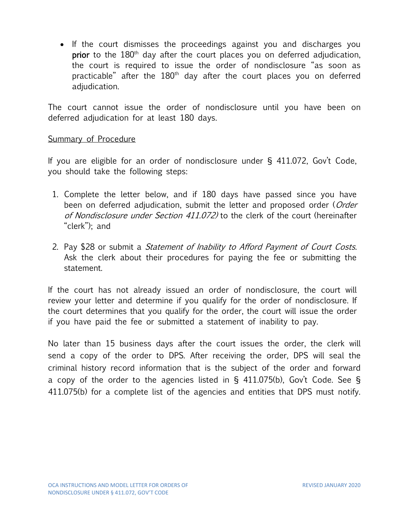• If the court dismisses the proceedings against you and discharges you **prior** to the  $180<sup>th</sup>$  day after the court places you on deferred adjudication, the court is required to issue the order of nondisclosure "as soon as practicable" after the 180<sup>th</sup> day after the court places you on deferred adjudication.

The court cannot issue the order of nondisclosure until you have been on deferred adjudication for at least 180 days.

### Summary of Procedure

If you are eligible for an order of nondisclosure under § 411.072, Gov't Code, you should take the following steps:

- 1. Complete the letter below, and if 180 days have passed since you have been on deferred adjudication, submit the letter and proposed order (*Order* of Nondisclosure under Section 411.072) to the clerk of the court (hereinafter "clerk"); and
- 2. Pay \$28 or submit a *Statement of Inability to Afford Payment of Court Costs.* Ask the clerk about their procedures for paying the fee or submitting the statement.

If the court has not already issued an order of nondisclosure, the court will review your letter and determine if you qualify for the order of nondisclosure. If the court determines that you qualify for the order, the court will issue the order if you have paid the fee or submitted a statement of inability to pay.

No later than 15 business days after the court issues the order, the clerk will send a copy of the order to DPS. After receiving the order, DPS will seal the criminal history record information that is the subject of the order and forward a copy of the order to the agencies listed in § 411.075(b), Gov't Code. See § 411.075(b) for a complete list of the agencies and entities that DPS must notify.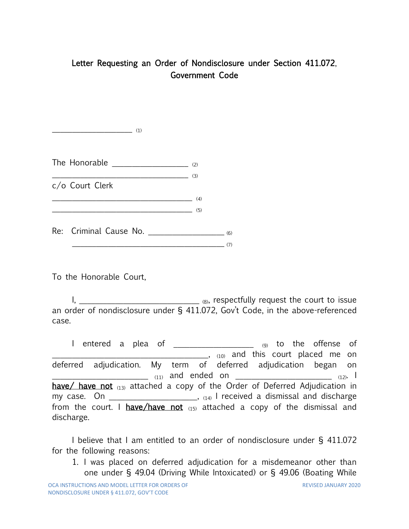# Letter Requesting an Order of Nondisclosure under Section 411.072, Government Code

The Honorable  $\frac{1}{(2)}$  $\overline{\phantom{a}}$  (3) c/o Court Clerk  $(4)$  $\overline{\qquad \qquad }$  (5)  $Re:$  Criminal Cause No.  $\qquad \qquad (6)$  $\overline{\phantom{a}}$  (7)

To the Honorable Court,

 $\overline{\phantom{a}}$  (1)

I, \_\_\_\_\_\_\_\_\_\_\_\_\_\_\_\_\_\_\_\_\_\_\_\_\_\_\_\_\_\_\_\_ (8), respectfully request the court to issue an order of nondisclosure under § 411.072, Gov't Code, in the above-referenced case.

I entered a plea of \_\_\_\_\_\_\_\_\_\_\_\_\_\_\_\_\_\_\_\_\_ (9) to the offense of **EXECUTE:** 10) and this court placed me on deferred adjudication. My term of deferred adjudication began on \_\_\_\_\_\_\_\_\_\_\_\_\_\_\_\_\_\_\_\_\_\_\_\_ (11) and ended on \_\_\_\_\_\_\_\_\_\_\_\_\_\_\_\_\_\_\_\_\_\_\_\_ (12) . I have/ have not  $(13)$  attached a copy of the Order of Deferred Adjudication in my case. On \_\_\_\_\_\_\_\_\_\_\_\_\_\_\_\_\_\_\_\_, (14) I received a dismissal and discharge from the court. I have/have not  $(15)$  attached a copy of the dismissal and discharge.

I believe that I am entitled to an order of nondisclosure under § 411.072 for the following reasons:

1. I was placed on deferred adjudication for a misdemeanor other than one under § 49.04 (Driving While Intoxicated) or § 49.06 (Boating While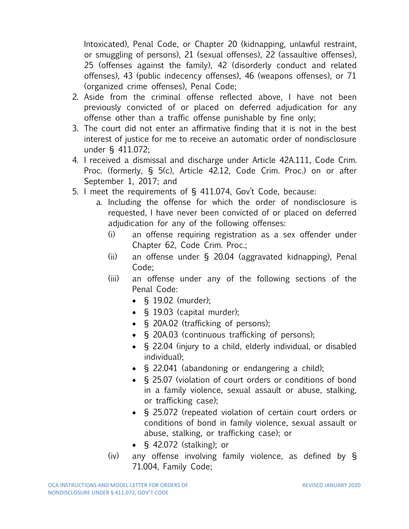Intoxicated), Penal Code, or Chapter 20 (kidnapping, unlawful restraint, or smuggling of persons), 21 (sexual offenses), 22 (assaultive offenses), 25 (offenses against the family), 42 (disorderly conduct and related offenses), 43 (public indecency offenses), 46 (weapons offenses), or 71 (organized crime offenses), Penal Code;

- 2. Aside from the criminal offense reflected above, I have not been previously convicted of or placed on deferred adjudication for any offense other than a traffic offense punishable by fine only;
- 3. The court did not enter an affirmative finding that it is not in the best interest of justice for me to receive an automatic order of nondisclosure under § 411.072;
- 4. I received a dismissal and discharge under Article 42A.111, Code Crim. Proc. (formerly, § 5(c), Article 42.12, Code Crim. Proc.) on or after September 1, 2017; and
- 5. I meet the requirements of § 411.074, Gov't Code, because:
	- a. Including the offense for which the order of nondisclosure is requested, I have never been convicted of or placed on deferred adjudication for any of the following offenses:
		- (i) an offense requiring registration as a sex offender under Chapter 62, Code Crim. Proc.;
		- (ii) an offense under § 20.04 (aggravated kidnapping), Penal Code;
		- (iii) an offense under any of the following sections of the Penal Code:
			- § 19.02 (murder);
			- § 19.03 (capital murder);
			- § 20A.02 (trafficking of persons);
			- § 20A.03 (continuous trafficking of persons);
			- § 22.04 (injury to a child, elderly individual, or disabled individual);
			- § 22.041 (abandoning or endangering a child);
			- § 25.07 (violation of court orders or conditions of bond in a family violence, sexual assault or abuse, stalking, or trafficking case);
			- § 25.072 (repeated violation of certain court orders or conditions of bond in family violence, sexual assault or abuse, stalking, or trafficking case); or
			- § 42.072 (stalking); or
		- (iv) any offense involving family violence, as defined by § 71.004, Family Code;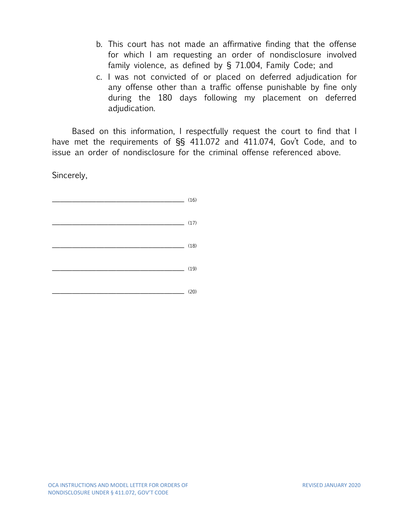- b. This court has not made an affirmative finding that the offense for which I am requesting an order of nondisclosure involved family violence, as defined by § 71.004, Family Code; and
- c. I was not convicted of or placed on deferred adjudication for any offense other than a traffic offense punishable by fine only during the 180 days following my placement on deferred adjudication.

Based on this information, I respectfully request the court to find that I have met the requirements of §§ 411.072 and 411.074, Gov't Code, and to issue an order of nondisclosure for the criminal offense referenced above.

Sincerely,

 $\overline{\phantom{a}16}$  (16)  $\overline{\phantom{a}17)}$  $(18)$ \_\_\_\_\_\_\_\_\_\_\_\_\_\_\_\_\_\_\_\_\_\_\_\_\_\_\_\_\_\_\_\_\_ (19)  $\overline{\phantom{a}}$  (20)